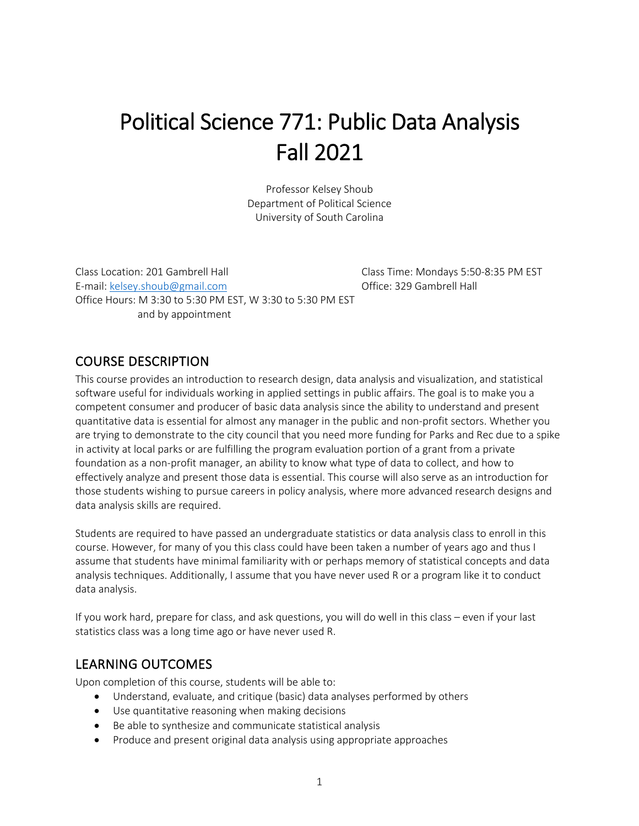# Political Science 771: Public Data Analysis Fall 2021

Professor Kelsey Shoub Department of Political Science University of South Carolina

Class Location: 201 Gambrell Hall Class Time: Mondays 5:50-8:35 PM EST E-mail: kelsey.shoub@gmail.com Office: 329 Gambrell Hall Office Hours: M 3:30 to 5:30 PM EST, W 3:30 to 5:30 PM EST and by appointment

# COURSE DESCRIPTION

This course provides an introduction to research design, data analysis and visualization, and statistical software useful for individuals working in applied settings in public affairs. The goal is to make you a competent consumer and producer of basic data analysis since the ability to understand and present quantitative data is essential for almost any manager in the public and non-profit sectors. Whether you are trying to demonstrate to the city council that you need more funding for Parks and Rec due to a spike in activity at local parks or are fulfilling the program evaluation portion of a grant from a private foundation as a non-profit manager, an ability to know what type of data to collect, and how to effectively analyze and present those data is essential. This course will also serve as an introduction for those students wishing to pursue careers in policy analysis, where more advanced research designs and data analysis skills are required.

Students are required to have passed an undergraduate statistics or data analysis class to enroll in this course. However, for many of you this class could have been taken a number of years ago and thus I assume that students have minimal familiarity with or perhaps memory of statistical concepts and data analysis techniques. Additionally, I assume that you have never used R or a program like it to conduct data analysis.

If you work hard, prepare for class, and ask questions, you will do well in this class – even if your last statistics class was a long time ago or have never used R.

## LEARNING OUTCOMES

Upon completion of this course, students will be able to:

- Understand, evaluate, and critique (basic) data analyses performed by others
- Use quantitative reasoning when making decisions
- Be able to synthesize and communicate statistical analysis
- Produce and present original data analysis using appropriate approaches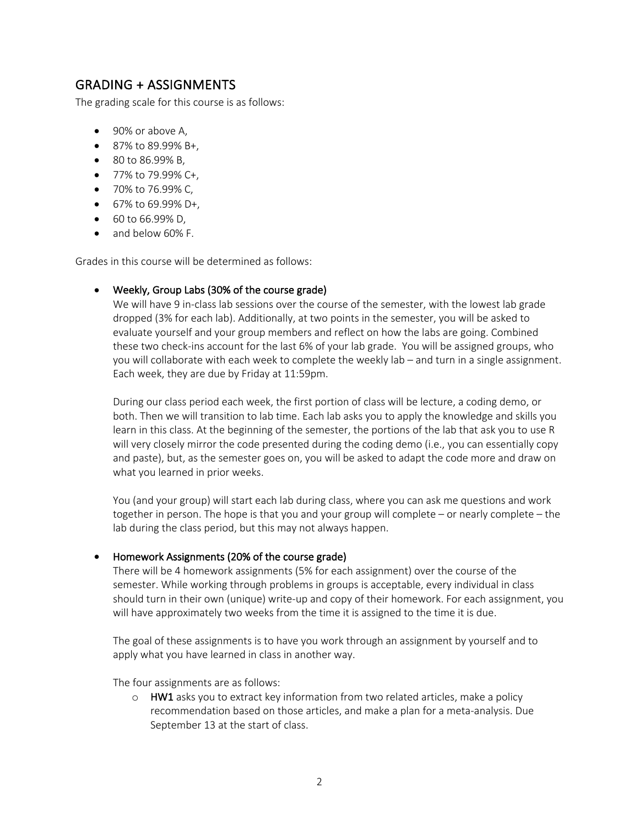# GRADING + ASSIGNMENTS

The grading scale for this course is as follows:

- 90% or above A,
- 87% to 89.99% B+.
- 80 to 86.99% B,
- 77% to 79.99% C+.
- 70% to 76.99% C,
- 67% to 69.99% D+,
- 60 to 66.99% D,
- and below 60% F.

Grades in this course will be determined as follows:

#### • Weekly, Group Labs (30% of the course grade)

We will have 9 in-class lab sessions over the course of the semester, with the lowest lab grade dropped (3% for each lab). Additionally, at two points in the semester, you will be asked to evaluate yourself and your group members and reflect on how the labs are going. Combined these two check-ins account for the last 6% of your lab grade. You will be assigned groups, who you will collaborate with each week to complete the weekly lab – and turn in a single assignment. Each week, they are due by Friday at 11:59pm.

During our class period each week, the first portion of class will be lecture, a coding demo, or both. Then we will transition to lab time. Each lab asks you to apply the knowledge and skills you learn in this class. At the beginning of the semester, the portions of the lab that ask you to use R will very closely mirror the code presented during the coding demo (i.e., you can essentially copy and paste), but, as the semester goes on, you will be asked to adapt the code more and draw on what you learned in prior weeks.

You (and your group) will start each lab during class, where you can ask me questions and work together in person. The hope is that you and your group will complete – or nearly complete – the lab during the class period, but this may not always happen.

#### • Homework Assignments (20% of the course grade)

There will be 4 homework assignments (5% for each assignment) over the course of the semester. While working through problems in groups is acceptable, every individual in class should turn in their own (unique) write-up and copy of their homework. For each assignment, you will have approximately two weeks from the time it is assigned to the time it is due.

The goal of these assignments is to have you work through an assignment by yourself and to apply what you have learned in class in another way.

The four assignments are as follows:

 $\circ$  HW1 asks you to extract key information from two related articles, make a policy recommendation based on those articles, and make a plan for a meta-analysis. Due September 13 at the start of class.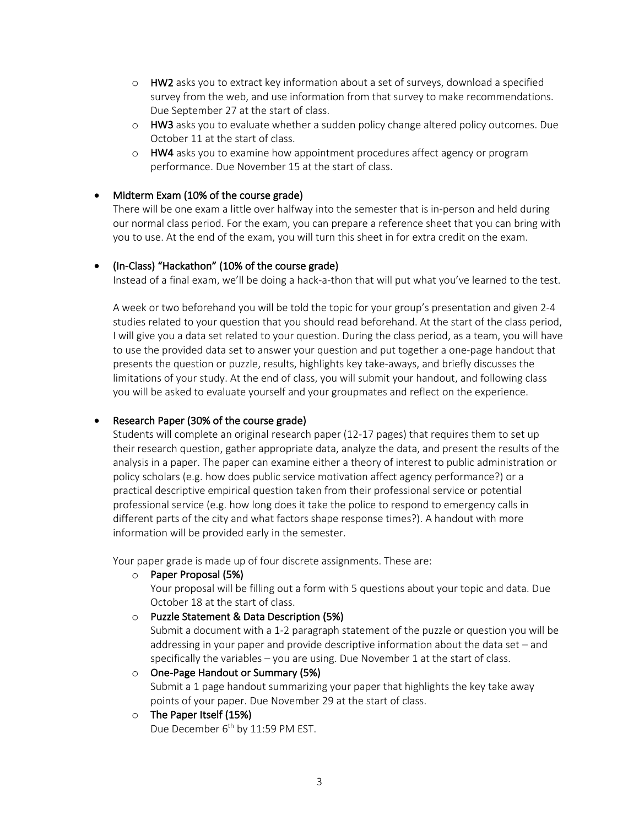- $\circ$  HW2 asks you to extract key information about a set of surveys, download a specified survey from the web, and use information from that survey to make recommendations. Due September 27 at the start of class.
- o HW3 asks you to evaluate whether a sudden policy change altered policy outcomes. Due October 11 at the start of class.
- $\circ$  HW4 asks you to examine how appointment procedures affect agency or program performance. Due November 15 at the start of class.

#### • Midterm Exam (10% of the course grade)

There will be one exam a little over halfway into the semester that is in-person and held during our normal class period. For the exam, you can prepare a reference sheet that you can bring with you to use. At the end of the exam, you will turn this sheet in for extra credit on the exam.

#### • (In-Class) "Hackathon" (10% of the course grade)

Instead of a final exam, we'll be doing a hack-a-thon that will put what you've learned to the test.

A week or two beforehand you will be told the topic for your group's presentation and given 2-4 studies related to your question that you should read beforehand. At the start of the class period, I will give you a data set related to your question. During the class period, as a team, you will have to use the provided data set to answer your question and put together a one-page handout that presents the question or puzzle, results, highlights key take-aways, and briefly discusses the limitations of your study. At the end of class, you will submit your handout, and following class you will be asked to evaluate yourself and your groupmates and reflect on the experience.

#### • Research Paper (30% of the course grade)

Students will complete an original research paper (12-17 pages) that requires them to set up their research question, gather appropriate data, analyze the data, and present the results of the analysis in a paper. The paper can examine either a theory of interest to public administration or policy scholars (e.g. how does public service motivation affect agency performance?) or a practical descriptive empirical question taken from their professional service or potential professional service (e.g. how long does it take the police to respond to emergency calls in different parts of the city and what factors shape response times?). A handout with more information will be provided early in the semester.

Your paper grade is made up of four discrete assignments. These are:

#### o Paper Proposal (5%)

Your proposal will be filling out a form with 5 questions about your topic and data. Due October 18 at the start of class.

o Puzzle Statement & Data Description (5%)

Submit a document with a 1-2 paragraph statement of the puzzle or question you will be addressing in your paper and provide descriptive information about the data set – and specifically the variables – you are using. Due November 1 at the start of class.

o One-Page Handout or Summary (5%) Submit a 1 page handout summarizing your paper that highlights the key take away points of your paper. Due November 29 at the start of class.

#### o The Paper Itself (15%)

Due December 6<sup>th</sup> by 11:59 PM EST.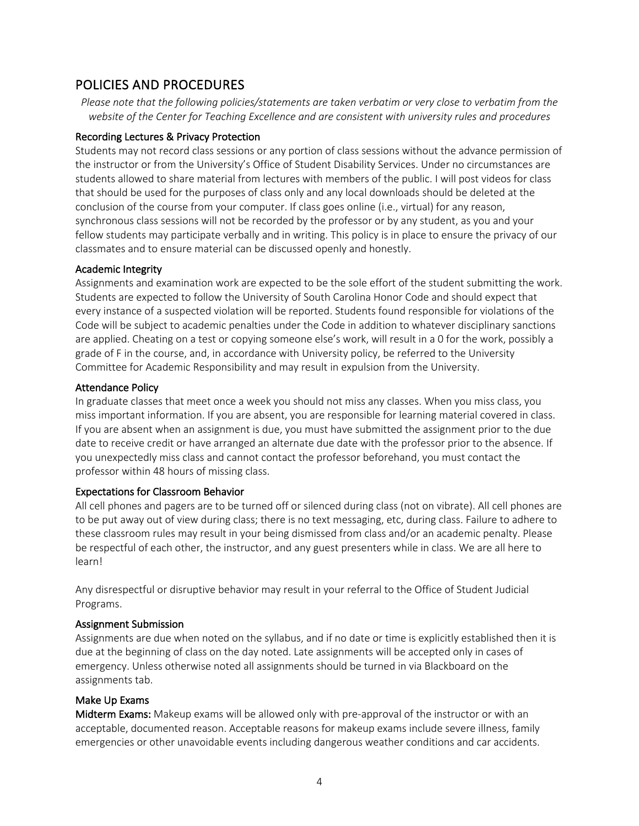# POLICIES AND PROCEDURES

*Please note that the following policies/statements are taken verbatim or very close to verbatim from the website of the Center for Teaching Excellence and are consistent with university rules and procedures*

#### Recording Lectures & Privacy Protection

Students may not record class sessions or any portion of class sessions without the advance permission of the instructor or from the University's Office of Student Disability Services. Under no circumstances are students allowed to share material from lectures with members of the public. I will post videos for class that should be used for the purposes of class only and any local downloads should be deleted at the conclusion of the course from your computer. If class goes online (i.e., virtual) for any reason, synchronous class sessions will not be recorded by the professor or by any student, as you and your fellow students may participate verbally and in writing. This policy is in place to ensure the privacy of our classmates and to ensure material can be discussed openly and honestly.

#### Academic Integrity

Assignments and examination work are expected to be the sole effort of the student submitting the work. Students are expected to follow the University of South Carolina Honor Code and should expect that every instance of a suspected violation will be reported. Students found responsible for violations of the Code will be subject to academic penalties under the Code in addition to whatever disciplinary sanctions are applied. Cheating on a test or copying someone else's work, will result in a 0 for the work, possibly a grade of F in the course, and, in accordance with University policy, be referred to the University Committee for Academic Responsibility and may result in expulsion from the University.

#### Attendance Policy

In graduate classes that meet once a week you should not miss any classes. When you miss class, you miss important information. If you are absent, you are responsible for learning material covered in class. If you are absent when an assignment is due, you must have submitted the assignment prior to the due date to receive credit or have arranged an alternate due date with the professor prior to the absence. If you unexpectedly miss class and cannot contact the professor beforehand, you must contact the professor within 48 hours of missing class.

#### Expectations for Classroom Behavior

All cell phones and pagers are to be turned off or silenced during class (not on vibrate). All cell phones are to be put away out of view during class; there is no text messaging, etc, during class. Failure to adhere to these classroom rules may result in your being dismissed from class and/or an academic penalty. Please be respectful of each other, the instructor, and any guest presenters while in class. We are all here to learn!

Any disrespectful or disruptive behavior may result in your referral to the Office of Student Judicial Programs.

#### Assignment Submission

Assignments are due when noted on the syllabus, and if no date or time is explicitly established then it is due at the beginning of class on the day noted. Late assignments will be accepted only in cases of emergency. Unless otherwise noted all assignments should be turned in via Blackboard on the assignments tab.

#### Make Up Exams

Midterm Exams: Makeup exams will be allowed only with pre-approval of the instructor or with an acceptable, documented reason. Acceptable reasons for makeup exams include severe illness, family emergencies or other unavoidable events including dangerous weather conditions and car accidents.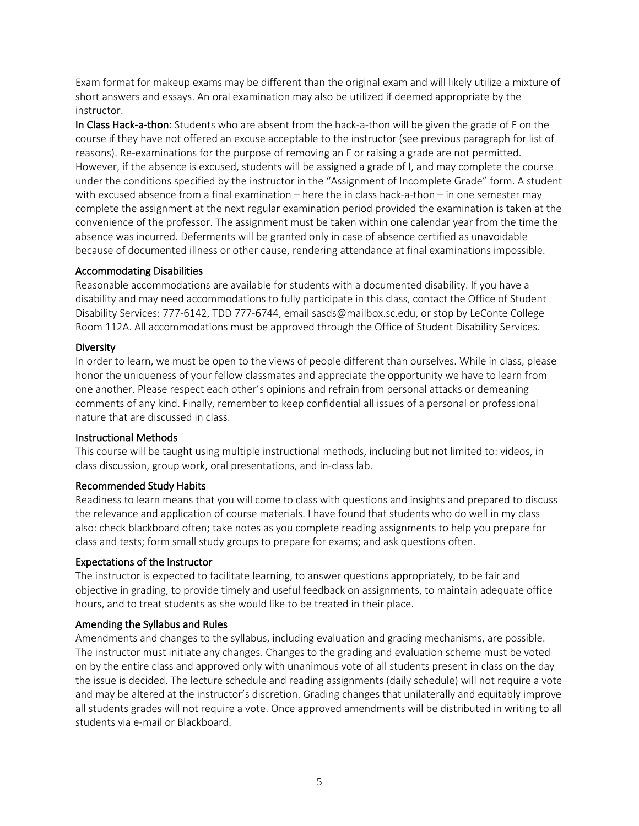Exam format for makeup exams may be different than the original exam and will likely utilize a mixture of short answers and essays. An oral examination may also be utilized if deemed appropriate by the instructor.

In Class Hack-a-thon: Students who are absent from the hack-a-thon will be given the grade of F on the course if they have not offered an excuse acceptable to the instructor (see previous paragraph for list of reasons). Re-examinations for the purpose of removing an F or raising a grade are not permitted. However, if the absence is excused, students will be assigned a grade of I, and may complete the course under the conditions specified by the instructor in the "Assignment of Incomplete Grade" form. A student with excused absence from a final examination – here the in class hack-a-thon – in one semester may complete the assignment at the next regular examination period provided the examination is taken at the convenience of the professor. The assignment must be taken within one calendar year from the time the absence was incurred. Deferments will be granted only in case of absence certified as unavoidable because of documented illness or other cause, rendering attendance at final examinations impossible.

#### Accommodating Disabilities

Reasonable accommodations are available for students with a documented disability. If you have a disability and may need accommodations to fully participate in this class, contact the Office of Student Disability Services: 777-6142, TDD 777-6744, email sasds@mailbox.sc.edu, or stop by LeConte College Room 112A. All accommodations must be approved through the Office of Student Disability Services.

#### Diversity

In order to learn, we must be open to the views of people different than ourselves. While in class, please honor the uniqueness of your fellow classmates and appreciate the opportunity we have to learn from one another. Please respect each other's opinions and refrain from personal attacks or demeaning comments of any kind. Finally, remember to keep confidential all issues of a personal or professional nature that are discussed in class.

#### Instructional Methods

This course will be taught using multiple instructional methods, including but not limited to: videos, in class discussion, group work, oral presentations, and in-class lab.

#### Recommended Study Habits

Readiness to learn means that you will come to class with questions and insights and prepared to discuss the relevance and application of course materials. I have found that students who do well in my class also: check blackboard often; take notes as you complete reading assignments to help you prepare for class and tests; form small study groups to prepare for exams; and ask questions often.

#### Expectations of the Instructor

The instructor is expected to facilitate learning, to answer questions appropriately, to be fair and objective in grading, to provide timely and useful feedback on assignments, to maintain adequate office hours, and to treat students as she would like to be treated in their place.

#### Amending the Syllabus and Rules

Amendments and changes to the syllabus, including evaluation and grading mechanisms, are possible. The instructor must initiate any changes. Changes to the grading and evaluation scheme must be voted on by the entire class and approved only with unanimous vote of all students present in class on the day the issue is decided. The lecture schedule and reading assignments (daily schedule) will not require a vote and may be altered at the instructor's discretion. Grading changes that unilaterally and equitably improve all students grades will not require a vote. Once approved amendments will be distributed in writing to all students via e-mail or Blackboard.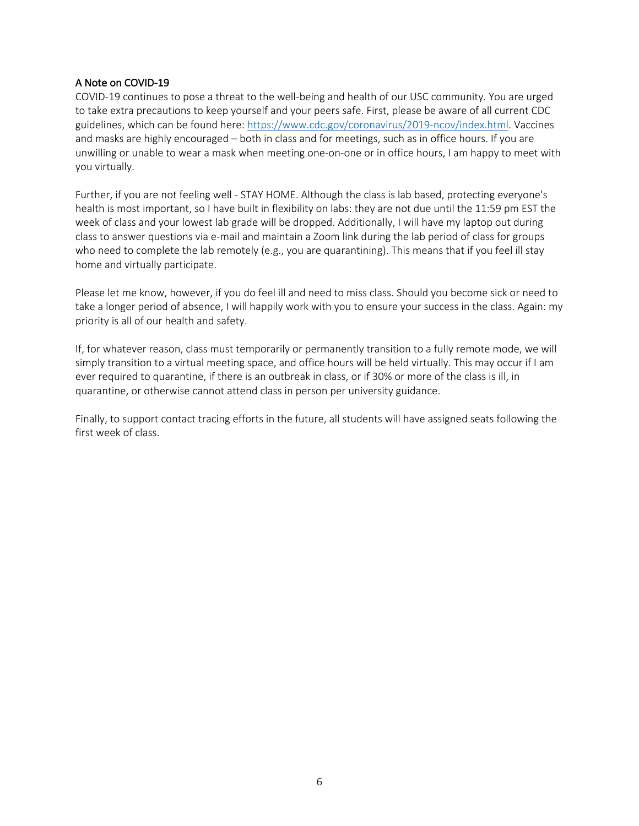#### A Note on COVID-19

COVID-19 continues to pose a threat to the well-being and health of our USC community. You are urged to take extra precautions to keep yourself and your peers safe. First, please be aware of all current CDC guidelines, which can be found here: https://www.cdc.gov/coronavirus/2019-ncov/index.html. Vaccines and masks are highly encouraged – both in class and for meetings, such as in office hours. If you are unwilling or unable to wear a mask when meeting one-on-one or in office hours, I am happy to meet with you virtually.

Further, if you are not feeling well - STAY HOME. Although the class is lab based, protecting everyone's health is most important, so I have built in flexibility on labs: they are not due until the 11:59 pm EST the week of class and your lowest lab grade will be dropped. Additionally, I will have my laptop out during class to answer questions via e-mail and maintain a Zoom link during the lab period of class for groups who need to complete the lab remotely (e.g., you are quarantining). This means that if you feel ill stay home and virtually participate.

Please let me know, however, if you do feel ill and need to miss class. Should you become sick or need to take a longer period of absence, I will happily work with you to ensure your success in the class. Again: my priority is all of our health and safety.

If, for whatever reason, class must temporarily or permanently transition to a fully remote mode, we will simply transition to a virtual meeting space, and office hours will be held virtually. This may occur if I am ever required to quarantine, if there is an outbreak in class, or if 30% or more of the class is ill, in quarantine, or otherwise cannot attend class in person per university guidance.

Finally, to support contact tracing efforts in the future, all students will have assigned seats following the first week of class.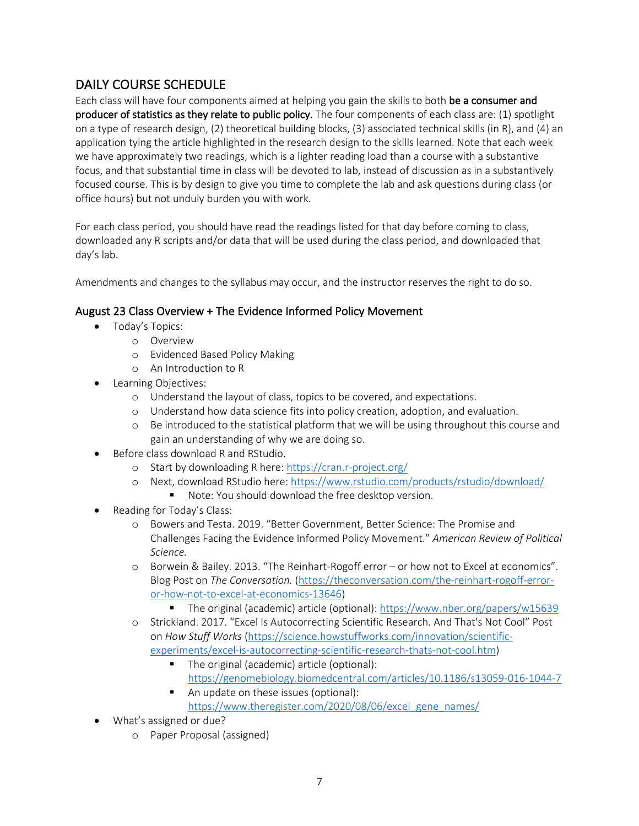# DAILY COURSE SCHEDULE

Each class will have four components aimed at helping you gain the skills to both be a consumer and producer of statistics as they relate to public policy. The four components of each class are: (1) spotlight on a type of research design, (2) theoretical building blocks, (3) associated technical skills (in R), and (4) an application tying the article highlighted in the research design to the skills learned. Note that each week we have approximately two readings, which is a lighter reading load than a course with a substantive focus, and that substantial time in class will be devoted to lab, instead of discussion as in a substantively focused course. This is by design to give you time to complete the lab and ask questions during class (or office hours) but not unduly burden you with work.

For each class period, you should have read the readings listed for that day before coming to class, downloaded any R scripts and/or data that will be used during the class period, and downloaded that day's lab.

Amendments and changes to the syllabus may occur, and the instructor reserves the right to do so.

## August 23 Class Overview + The Evidence Informed Policy Movement

- Today's Topics:
	- o Overview
	- o Evidenced Based Policy Making
	- o An Introduction to R
- Learning Objectives:
	- o Understand the layout of class, topics to be covered, and expectations.
	- o Understand how data science fits into policy creation, adoption, and evaluation.
	- o Be introduced to the statistical platform that we will be using throughout this course and gain an understanding of why we are doing so.
- Before class download R and RStudio.
	- o Start by downloading R here: https://cran.r-project.org/
	- o Next, download RStudio here: https://www.rstudio.com/products/rstudio/download/
		- Note: You should download the free desktop version.
- Reading for Today's Class:
	- o Bowers and Testa. 2019. "Better Government, Better Science: The Promise and Challenges Facing the Evidence Informed Policy Movement." *American Review of Political Science.*
	- o Borwein & Bailey. 2013. "The Reinhart-Rogoff error or how not to Excel at economics". Blog Post on *The Conversation.* (https://theconversation.com/the-reinhart-rogoff-erroror-how-not-to-excel-at-economics-13646)
		- § The original (academic) article (optional): https://www.nber.org/papers/w15639
	- o Strickland. 2017. "Excel Is Autocorrecting Scientific Research. And That's Not Cool" Post on *How Stuff Works* (https://science.howstuffworks.com/innovation/scientificexperiments/excel-is-autocorrecting-scientific-research-thats-not-cool.htm)
		- The original (academic) article (optional): https://genomebiology.biomedcentral.com/articles/10.1186/s13059-016-1044-7
		- An update on these issues (optional): https://www.theregister.com/2020/08/06/excel\_gene\_names/
- What's assigned or due?
	- o Paper Proposal (assigned)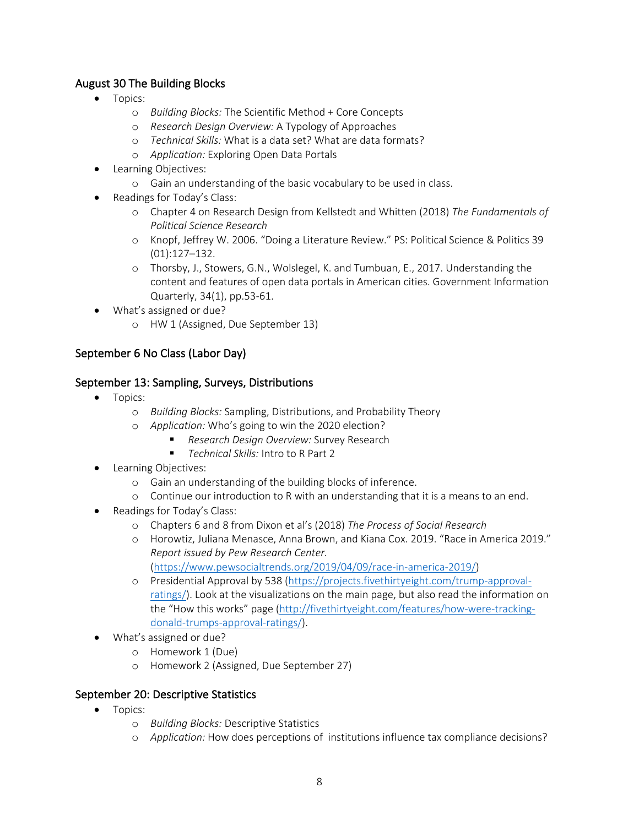## August 30 The Building Blocks

- Topics:
	- o *Building Blocks:* The Scientific Method + Core Concepts
	- o *Research Design Overview:* A Typology of Approaches
	- o *Technical Skills:* What is a data set? What are data formats?
	- o *Application:* Exploring Open Data Portals
- Learning Objectives:
	- o Gain an understanding of the basic vocabulary to be used in class.
- Readings for Today's Class:
	- o Chapter 4 on Research Design from Kellstedt and Whitten (2018) *The Fundamentals of Political Science Research*
	- o Knopf, Jeffrey W. 2006. "Doing a Literature Review." PS: Political Science & Politics 39 (01):127–132.
	- o Thorsby, J., Stowers, G.N., Wolslegel, K. and Tumbuan, E., 2017. Understanding the content and features of open data portals in American cities. Government Information Quarterly, 34(1), pp.53-61.
- What's assigned or due?
	- o HW 1 (Assigned, Due September 13)

## September 6 No Class (Labor Day)

## September 13: Sampling, Surveys, Distributions

- Topics:
	- o *Building Blocks:* Sampling, Distributions, and Probability Theory
	- o *Application:* Who's going to win the 2020 election?
		- § *Research Design Overview:* Survey Research
		- *Technical Skills:* Intro to R Part 2
- Learning Objectives:
	- o Gain an understanding of the building blocks of inference.
	- o Continue our introduction to R with an understanding that it is a means to an end.
- Readings for Today's Class:
	- o Chapters 6 and 8 from Dixon et al's (2018) *The Process of Social Research*
	- o Horowtiz, Juliana Menasce, Anna Brown, and Kiana Cox. 2019. "Race in America 2019." *Report issued by Pew Research Center.* 
		- (https://www.pewsocialtrends.org/2019/04/09/race-in-america-2019/)
	- o Presidential Approval by 538 (https://projects.fivethirtyeight.com/trump-approvalratings/). Look at the visualizations on the main page, but also read the information on the "How this works" page (http://fivethirtyeight.com/features/how-were-trackingdonald-trumps-approval-ratings/).
- What's assigned or due?
	- o Homework 1 (Due)
	- o Homework 2 (Assigned, Due September 27)

## September 20: Descriptive Statistics

- Topics:
	- o *Building Blocks:* Descriptive Statistics
	- o *Application:* How does perceptions of institutions influence tax compliance decisions?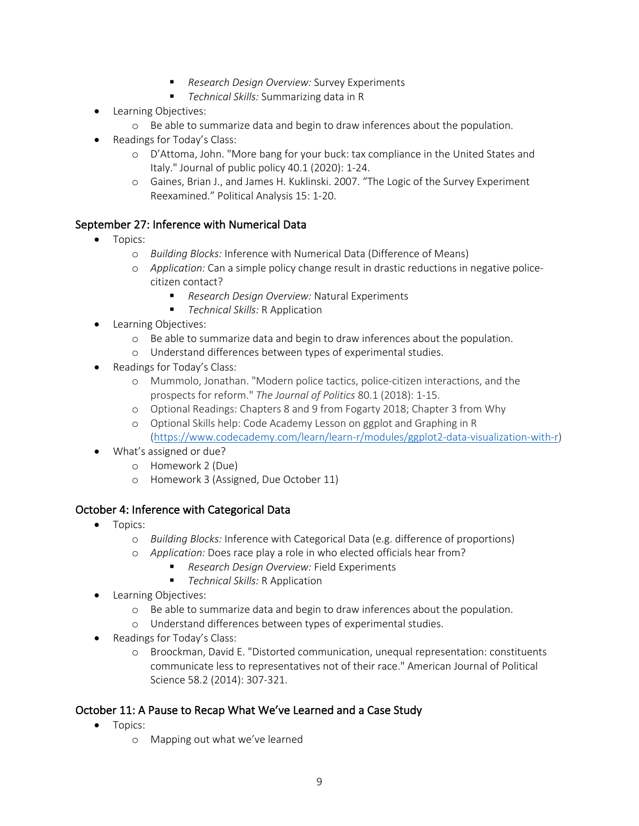- *Research Design Overview:* Survey Experiments
- *Technical Skills:* Summarizing data in R
- Learning Objectives:
	- o Be able to summarize data and begin to draw inferences about the population.
- Readings for Today's Class:
	- o D'Attoma, John. "More bang for your buck: tax compliance in the United States and Italy." Journal of public policy 40.1 (2020): 1-24.
	- o Gaines, Brian J., and James H. Kuklinski. 2007. "The Logic of the Survey Experiment Reexamined." Political Analysis 15: 1-20.

## September 27: Inference with Numerical Data

- Topics:
	- o *Building Blocks:* Inference with Numerical Data (Difference of Means)
	- o *Application:* Can a simple policy change result in drastic reductions in negative policecitizen contact?
		- *Research Design Overview:* Natural Experiments
		- § *Technical Skills:* R Application
- Learning Objectives:
	- o Be able to summarize data and begin to draw inferences about the population.
	- o Understand differences between types of experimental studies.
- Readings for Today's Class:
	- o Mummolo, Jonathan. "Modern police tactics, police-citizen interactions, and the prospects for reform." *The Journal of Politics* 80.1 (2018): 1-15.
	- o Optional Readings: Chapters 8 and 9 from Fogarty 2018; Chapter 3 from Why
	- o Optional Skills help: Code Academy Lesson on ggplot and Graphing in R (https://www.codecademy.com/learn/learn-r/modules/ggplot2-data-visualization-with-r)
- What's assigned or due?
	- o Homework 2 (Due)
	- o Homework 3 (Assigned, Due October 11)

## October 4: Inference with Categorical Data

- Topics:
	- o *Building Blocks:* Inference with Categorical Data (e.g. difference of proportions)
	- o *Application:* Does race play a role in who elected officials hear from?
		- § *Research Design Overview:* Field Experiments
		- *Technical Skills:* R Application
- Learning Objectives:
	- o Be able to summarize data and begin to draw inferences about the population.
	- o Understand differences between types of experimental studies.
- Readings for Today's Class:
	- o Broockman, David E. "Distorted communication, unequal representation: constituents communicate less to representatives not of their race." American Journal of Political Science 58.2 (2014): 307-321.

## October 11: A Pause to Recap What We've Learned and a Case Study

- Topics:
	- o Mapping out what we've learned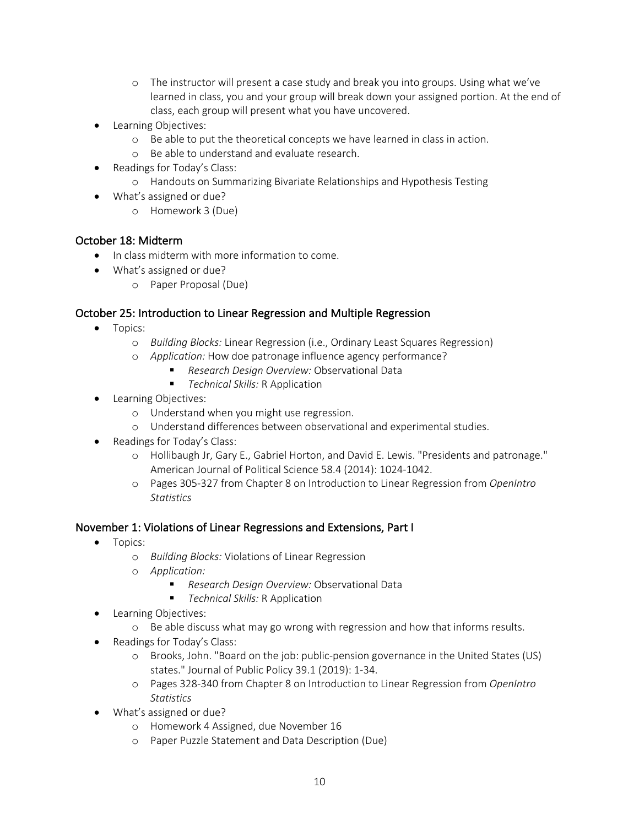- o The instructor will present a case study and break you into groups. Using what we've learned in class, you and your group will break down your assigned portion. At the end of class, each group will present what you have uncovered.
- Learning Objectives:
	- o Be able to put the theoretical concepts we have learned in class in action.
	- o Be able to understand and evaluate research.
- Readings for Today's Class:
	- o Handouts on Summarizing Bivariate Relationships and Hypothesis Testing
- What's assigned or due?
	- o Homework 3 (Due)

#### October 18: Midterm

- In class midterm with more information to come.
- What's assigned or due?
	- o Paper Proposal (Due)

### October 25: Introduction to Linear Regression and Multiple Regression

- Topics:
	- o *Building Blocks:* Linear Regression (i.e., Ordinary Least Squares Regression)
	- o *Application:* How doe patronage influence agency performance?
		- Research Design Overview: Observational Data
		- *Technical Skills:* R Application
- Learning Objectives:
	- o Understand when you might use regression.
	- o Understand differences between observational and experimental studies.
- Readings for Today's Class:
	- o Hollibaugh Jr, Gary E., Gabriel Horton, and David E. Lewis. "Presidents and patronage." American Journal of Political Science 58.4 (2014): 1024-1042.
	- o Pages 305-327 from Chapter 8 on Introduction to Linear Regression from *OpenIntro Statistics*

#### November 1: Violations of Linear Regressions and Extensions, Part I

- Topics:
	- o *Building Blocks:* Violations of Linear Regression
	- o *Application:*
		- *Research Design Overview: Observational Data*
		- § *Technical Skills:* R Application
- Learning Objectives:
	- o Be able discuss what may go wrong with regression and how that informs results.
- Readings for Today's Class:
	- o Brooks, John. "Board on the job: public-pension governance in the United States (US) states." Journal of Public Policy 39.1 (2019): 1-34.
	- o Pages 328-340 from Chapter 8 on Introduction to Linear Regression from *OpenIntro Statistics*
- What's assigned or due?
	- o Homework 4 Assigned, due November 16
	- o Paper Puzzle Statement and Data Description (Due)